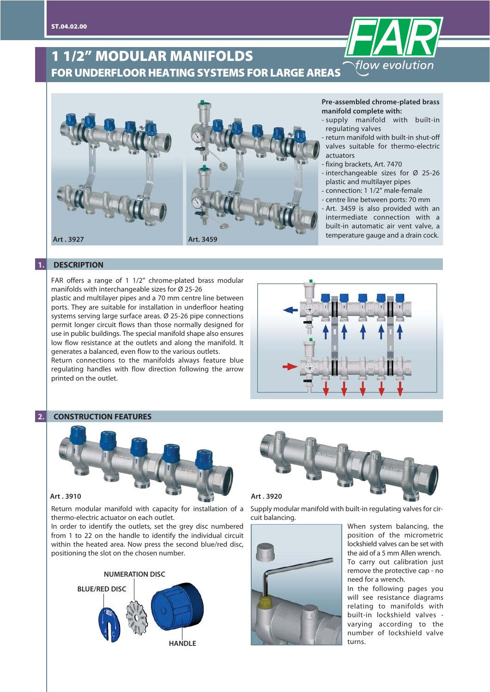# **1 1/2" MODULAR MANIFOLDS FOR UNDERFLOOR HEATING SYSTEMS FOR LARGE AREAS**



#### **Pre-assembled chrome-plated brass manifold complete with:**

flow evolution

- supply manifold with built-in regulating valves
- return manifold with built-in shut-off valves suitable for thermo-electric actuators
- fixing brackets, Art. 7470
- interchangeable sizes for Ø 25-26 plastic and multilayer pipes
- connection: 1 1/2" male-female
- centre line between ports: 70 mm

- Art. 3459 is also provided with an intermediate connection with a built-in automatic air vent valve, a temperature gauge and a drain cock.

### **1. DESCRIPTION**

FAR offers a range of 1 1/2" chrome-plated brass modular manifolds with interchangeable sizes for Ø 25-26

plastic and multilayer pipes and a 70 mm centre line between ports. They are suitable for installation in underfloor heating systems serving large surface areas. Ø 25-26 pipe connections permit longer circuit flows than those normally designed for use in public buildings. The special manifold shape also ensures low flow resistance at the outlets and along the manifold. It generates a balanced, even flow to the various outlets.

Return connections to the manifolds always feature blue regulating handles with flow direction following the arrow printed on the outlet.



#### **2. CONSTRUCTION FEATURES**



Return modular manifold with capacity for installation of a thermo-electric actuator on each outlet.

In order to identify the outlets, set the grey disc numbered from 1 to 22 on the handle to identify the individual circuit within the heated area. Now press the second blue/red disc, positioning the slot on the chosen number.







Supply modular manifold with built-in regulating valves for circuit balancing.



When system balancing, the position of the micrometric lockshield valves can be set with the aid of a 5 mm Allen wrench. To carry out calibration just remove the protective cap - no need for a wrench.

In the following pages you will see resistance diagrams relating to manifolds with built-in lockshield valves varying according to the number of lockshield valve turns.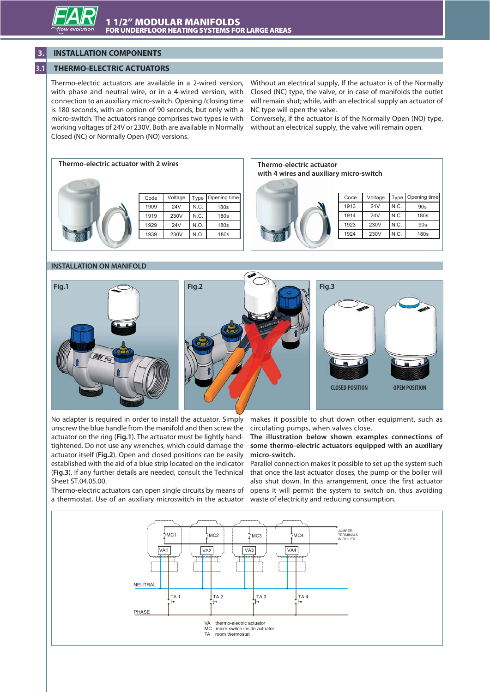# **3. INSTALLATION COMPONENTS**

# **3.1 THERMO-ELECTRIC ACTUATORS**

Thermo-electric actuators are available in a 2-wired version, with phase and neutral wire, or in a 4-wired version, with connection to an auxiliary micro-switch. Opening /closing time is 180 seconds, with an option of 90 seconds, but only with a micro-switch. The actuators range comprises two types ie with working voltages of 24V or 230V. Both are available in Normally Closed (NC) or Normally Open (NO) versions.

Without an electrical supply, If the actuator is of the Normally Closed (NC) type, the valve, or in case of manifolds the outlet will remain shut; while, with an electrical supply an actuator of NC type will open the valve.

Conversely, if the actuator is of the Normally Open (NO) type, without an electrical supply, the valve will remain open.



# **with 4 wires and auxiliary micro-switch**



| Code | Voltage |      | Type   Opening time |  |  |
|------|---------|------|---------------------|--|--|
| 1913 | 24V     | N.C. | 90s                 |  |  |
| 1914 | 24V     | N.C. | 180s                |  |  |
| 1923 | 230V    | N.C. | 90s                 |  |  |
| 1924 | 230V    | N.C. | 180s                |  |  |

#### **INSTALLATION ON MANIFOLD**



No adapter is required in order to install the actuator. Simply unscrew the blue handle from the manifold and then screw the actuator on the ring (**Fig.1**). The actuator must be lightly handtightened. Do not use any wrenches, which could damage the actuator itself (**Fig.2**). Open and closed positions can be easily established with the aid of a blue strip located on the indicator (**Fig.3**). If any further details are needed, consult the Technical Sheet ST.04.05.00.

makes it possible to shut down other equipment, such as circulating pumps, when valves close.

**The illustration below shown examples connections of some thermo-electric actuators equipped with an auxiliary micro-switch.**

Thermo-electric actuators can open single circuits by means of opens it will permit the system to switch on, thus avoiding a thermostat. Use of an auxiliary microswitch in the actuator waste of electricity and reducing consumption. Parallel connection makes it possible to set up the system such that once the last actuator closes, the pump or the boiler will also shut down. In this arrangement, once the first actuator

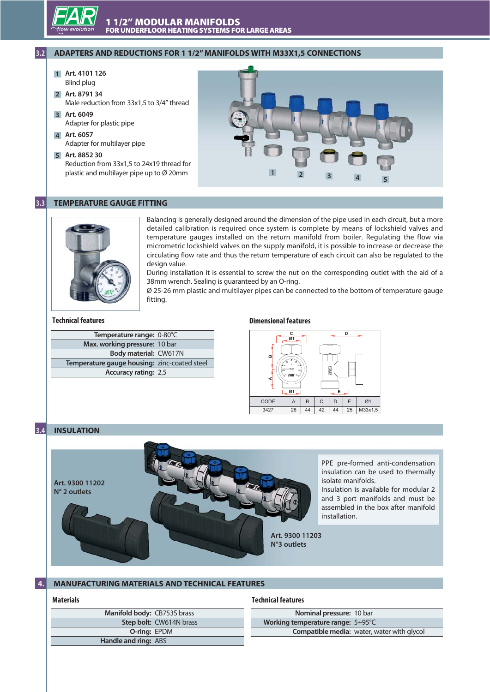

# **3.2 ADAPTERS AND REDUCTIONS FOR 1 1/2" MANIFOLDS WITH M33X1,5 CONNECTIONS**

- **Art. 4101 126 1** Blind plug
- **Art. 8791 34 2** Male reduction from 33x1,5 to 3/4" thread
- **Art. 6049 3** Adapter for plastic pipe
- **Art. 6057 4** Adapter for multilayer pipe
- **Art. 8852 30 5** Reduction from 33x1,5 to 24x19 thread for

plastic and multilayer pipe up to Ø 20mm



# **3.3 TEMPERATURE GAUGE FITTING**



Balancing is generally designed around the dimension of the pipe used in each circuit, but a more detailed calibration is required once system is complete by means of lockshield valves and temperature gauges installed on the return manifold from boiler. Regulating the flow via micrometric lockshield valves on the supply manifold, it is possible to increase or decrease the circulating flow rate and thus the return temperature of each circuit can also be regulated to the design value.

During installation it is essential to screw the nut on the corresponding outlet with the aid of a 38mm wrench. Sealing is guaranteed by an O-ring.

Ø 25-26 mm plastic and multilayer pipes can be connected to the bottom of temperature gauge fitting.

#### **Technical features**

| Temperature range: 0-80°C                    |  |
|----------------------------------------------|--|
| Max. working pressure: 10 bar                |  |
| Body material: CW617N                        |  |
| Temperature gauge housing: zinc-coated steel |  |
| <b>Accuracy rating: 2,5</b>                  |  |
|                                              |  |

## **Dimensional features**



# **3.4 INSULATION**



PPE pre-formed anti-condensation insulation can be used to thermally isolate manifolds.

Insulation is available for modular 2 and 3 port manifolds and must be assembled in the box after manifold installation.

## **4. MANUFACTURING MATERIALS AND TECHNICAL FEATURES**

### **Materials**

Ī

#### **Technical features**

| Manifold body: CB753S brass |                         |
|-----------------------------|-------------------------|
|                             | Step bolt: CW614N brass |
| O-ring: EPDM                |                         |
| Handle and ring: ABS        |                         |
|                             |                         |

| Nominal pressure: 10 bar          |                                                   |
|-----------------------------------|---------------------------------------------------|
| Working temperature range: 5:05°C |                                                   |
|                                   | <b>Compatible media:</b> water, water with glycol |